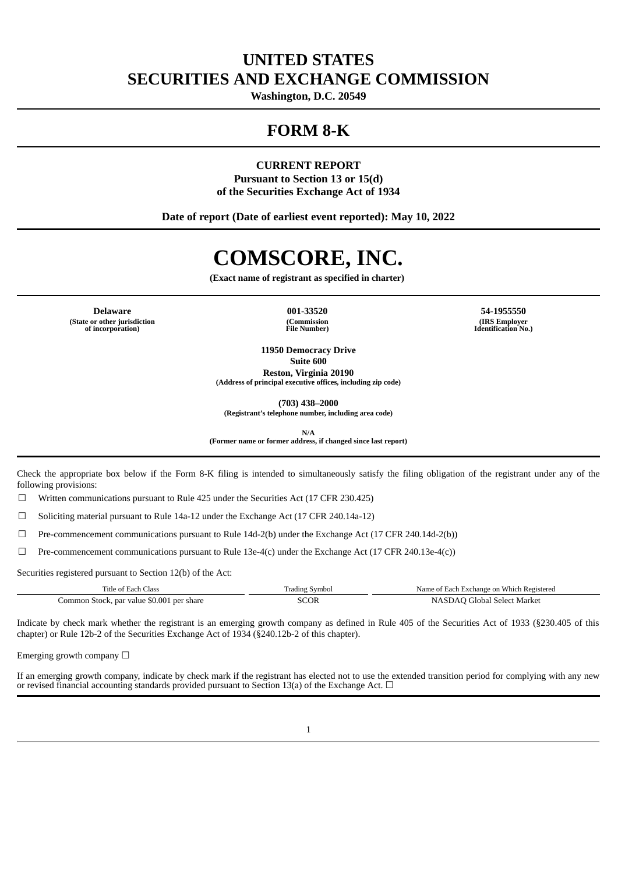# **UNITED STATES SECURITIES AND EXCHANGE COMMISSION**

**Washington, D.C. 20549**

# **FORM 8-K**

# **CURRENT REPORT Pursuant to Section 13 or 15(d) of the Securities Exchange Act of 1934**

**Date of report (Date of earliest event reported): May 10, 2022**

# **COMSCORE, INC.**

**(Exact name of registrant as specified in charter)**

**Delaware 001-33520 54-1955550 (State or other jurisdiction of incorporation)**

**(Commission File Number)**

**(IRS Employer Identification No.)**

**11950 Democracy Drive Suite 600 Reston, Virginia 20190**

**(Address of principal executive offices, including zip code)**

**(703) 438–2000**

**(Registrant's telephone number, including area code)**

**N/A**

**(Former name or former address, if changed since last report)**

Check the appropriate box below if the Form 8-K filing is intended to simultaneously satisfy the filing obligation of the registrant under any of the following provisions:

 $\Box$  Written communications pursuant to Rule 425 under the Securities Act (17 CFR 230.425)

☐ Soliciting material pursuant to Rule 14a-12 under the Exchange Act (17 CFR 240.14a-12)

☐ Pre-commencement communications pursuant to Rule 14d-2(b) under the Exchange Act (17 CFR 240.14d-2(b))

 $\Box$  Pre-commencement communications pursuant to Rule 13e-4(c) under the Exchange Act (17 CFR 240.13e-4(c))

Securities registered pursuant to Section 12(b) of the Act:

| Title of Each Class                       | Trading Symbol | Name of Each Exchange on Which Registered |  |  |  |  |  |
|-------------------------------------------|----------------|-------------------------------------------|--|--|--|--|--|
| Common Stock, par value \$0.001 per share | SCOR           | NASDAO Global Select Market               |  |  |  |  |  |

Indicate by check mark whether the registrant is an emerging growth company as defined in Rule 405 of the Securities Act of 1933 (§230.405 of this chapter) or Rule 12b-2 of the Securities Exchange Act of 1934 (§240.12b-2 of this chapter).

Emerging growth company  $\Box$ 

If an emerging growth company, indicate by check mark if the registrant has elected not to use the extended transition period for complying with any new or revised financial accounting standards provided pursuant to Section 13(a) of the Exchange Act.  $\Box$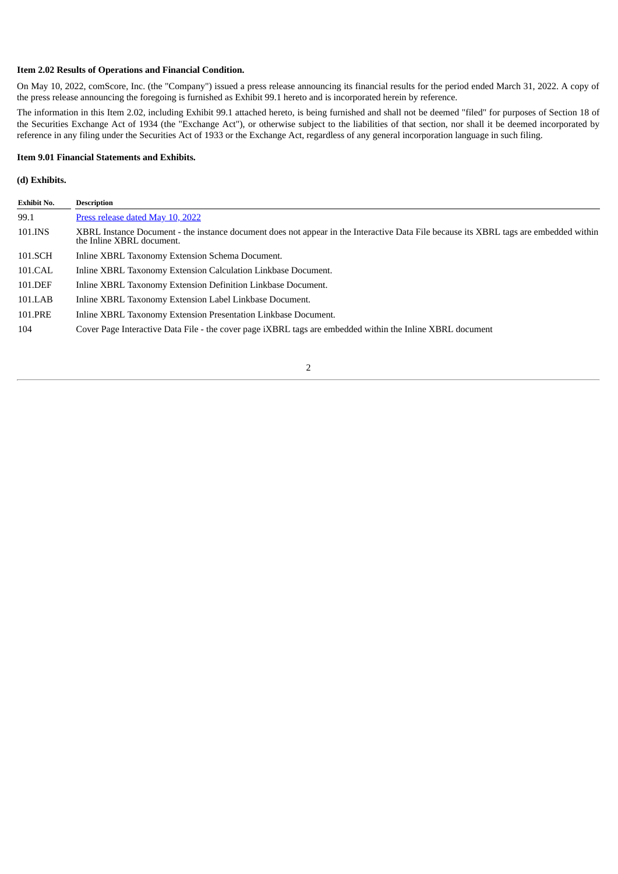#### **Item 2.02 Results of Operations and Financial Condition.**

On May 10, 2022, comScore, Inc. (the "Company") issued a press release announcing its financial results for the period ended March 31, 2022. A copy of the press release announcing the foregoing is furnished as Exhibit 99.1 hereto and is incorporated herein by reference.

The information in this Item 2.02, including Exhibit 99.1 attached hereto, is being furnished and shall not be deemed "filed" for purposes of Section 18 of the Securities Exchange Act of 1934 (the "Exchange Act"), or otherwise subject to the liabilities of that section, nor shall it be deemed incorporated by reference in any filing under the Securities Act of 1933 or the Exchange Act, regardless of any general incorporation language in such filing.

#### **Item 9.01 Financial Statements and Exhibits.**

#### **(d) Exhibits.**

| <b>Exhibit No.</b> | <b>Description</b>                                                                                                                                                 |
|--------------------|--------------------------------------------------------------------------------------------------------------------------------------------------------------------|
| 99.1               | Press release dated May 10, 2022                                                                                                                                   |
| 101.INS            | XBRL Instance Document - the instance document does not appear in the Interactive Data File because its XBRL tags are embedded within<br>the Inline XBRL document. |
| 101.SCH            | Inline XBRL Taxonomy Extension Schema Document.                                                                                                                    |
| 101.CAL            | Inline XBRL Taxonomy Extension Calculation Linkbase Document.                                                                                                      |
| 101.DEF            | Inline XBRL Taxonomy Extension Definition Linkbase Document.                                                                                                       |
| 101.LAB            | Inline XBRL Taxonomy Extension Label Linkbase Document.                                                                                                            |
| 101.PRE            | Inline XBRL Taxonomy Extension Presentation Linkbase Document.                                                                                                     |
| 104                | Cover Page Interactive Data File - the cover page iXBRL tags are embedded within the Inline XBRL document                                                          |

#### 2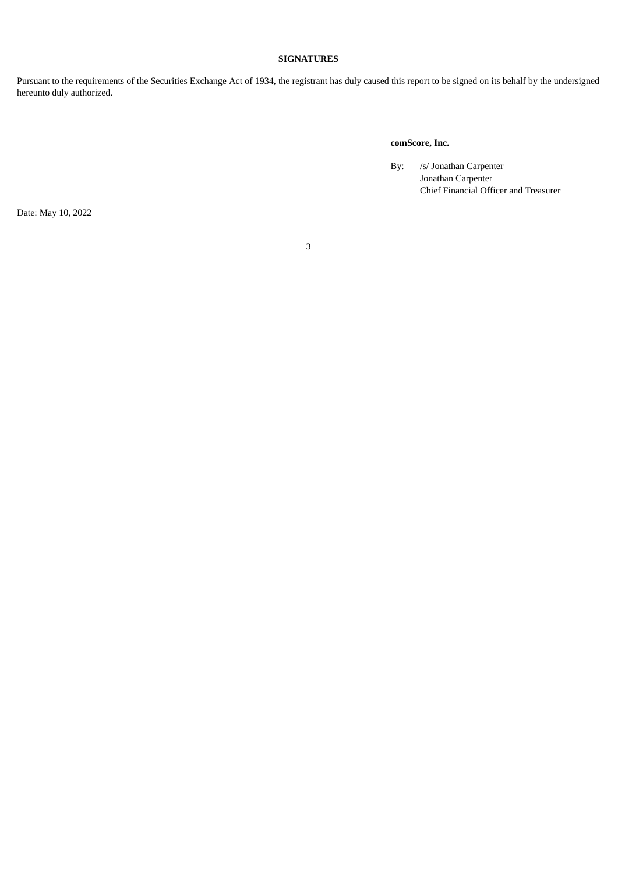#### **SIGNATURES**

Pursuant to the requirements of the Securities Exchange Act of 1934, the registrant has duly caused this report to be signed on its behalf by the undersigned hereunto duly authorized.

# **comScore, Inc.**

By: /s/ Jonathan Carpenter

Jonathan Carpenter Chief Financial Officer and Treasurer

Date: May 10, 2022

3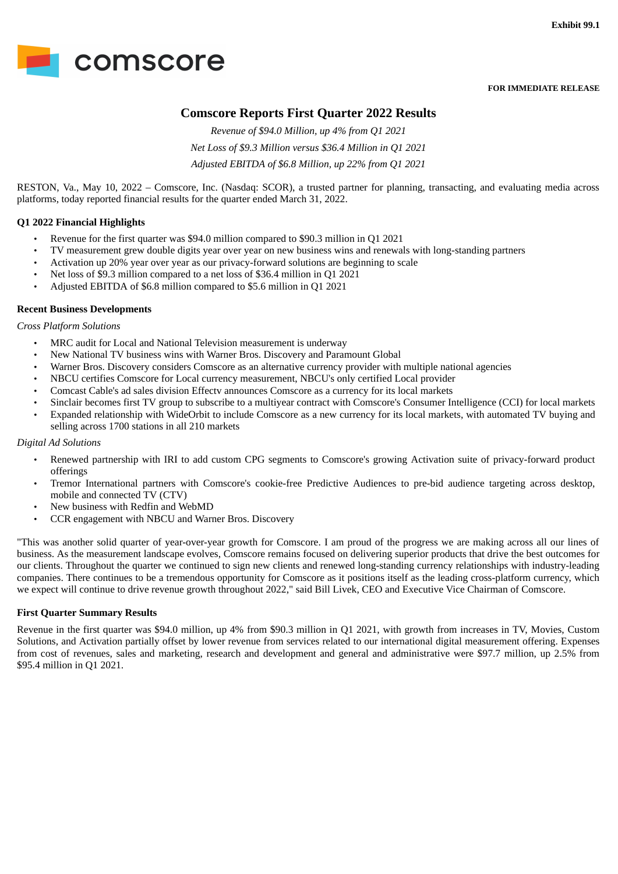<span id="page-3-0"></span>

**FOR IMMEDIATE RELEASE**

# **Comscore Reports First Quarter 2022 Results**

*Revenue of \$94.0 Million, up 4% from Q1 2021 Net Loss of \$9.3 Million versus \$36.4 Million in Q1 2021 Adjusted EBITDA of \$6.8 Million, up 22% from Q1 2021*

RESTON, Va., May 10, 2022 – Comscore, Inc. (Nasdaq: SCOR), a trusted partner for planning, transacting, and evaluating media across platforms, today reported financial results for the quarter ended March 31, 2022.

## **Q1 2022 Financial Highlights**

- Revenue for the first quarter was \$94.0 million compared to \$90.3 million in Q1 2021
- TV measurement grew double digits year over year on new business wins and renewals with long-standing partners
- Activation up 20% year over year as our privacy-forward solutions are beginning to scale
- Net loss of \$9.3 million compared to a net loss of \$36.4 million in Q1 2021
- Adjusted EBITDA of \$6.8 million compared to \$5.6 million in Q1 2021

#### **Recent Business Developments**

*Cross Platform Solutions*

- MRC audit for Local and National Television measurement is underway
- New National TV business wins with Warner Bros. Discovery and Paramount Global
- Warner Bros. Discovery considers Comscore as an alternative currency provider with multiple national agencies
- NBCU certifies Comscore for Local currency measurement, NBCU's only certified Local provider
- Comcast Cable's ad sales division Effectv announces Comscore as a currency for its local markets
- Sinclair becomes first TV group to subscribe to a multiyear contract with Comscore's Consumer Intelligence (CCI) for local markets
- Expanded relationship with WideOrbit to include Comscore as a new currency for its local markets, with automated TV buying and selling across 1700 stations in all 210 markets

#### *Digital Ad Solutions*

- Renewed partnership with IRI to add custom CPG segments to Comscore's growing Activation suite of privacy-forward product offerings
- Tremor International partners with Comscore's cookie-free Predictive Audiences to pre-bid audience targeting across desktop, mobile and connected TV (CTV)
- New business with Redfin and WebMD
- CCR engagement with NBCU and Warner Bros. Discovery

"This was another solid quarter of year-over-year growth for Comscore. I am proud of the progress we are making across all our lines of business. As the measurement landscape evolves, Comscore remains focused on delivering superior products that drive the best outcomes for our clients. Throughout the quarter we continued to sign new clients and renewed long-standing currency relationships with industry-leading companies. There continues to be a tremendous opportunity for Comscore as it positions itself as the leading cross-platform currency, which we expect will continue to drive revenue growth throughout 2022," said Bill Livek, CEO and Executive Vice Chairman of Comscore.

## **First Quarter Summary Results**

Revenue in the first quarter was \$94.0 million, up 4% from \$90.3 million in Q1 2021, with growth from increases in TV, Movies, Custom Solutions, and Activation partially offset by lower revenue from services related to our international digital measurement offering. Expenses from cost of revenues, sales and marketing, research and development and general and administrative were \$97.7 million, up 2.5% from \$95.4 million in Q1 2021.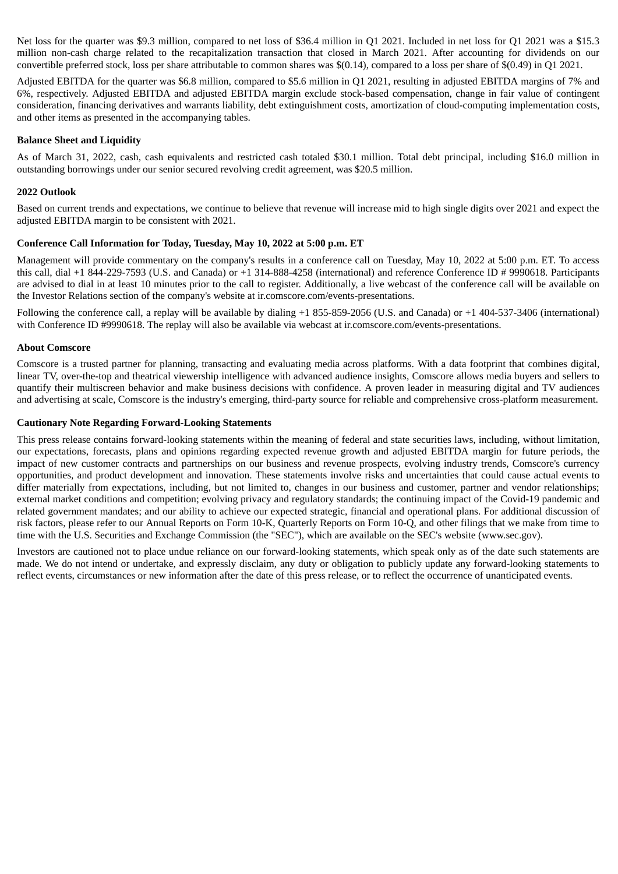Net loss for the quarter was \$9.3 million, compared to net loss of \$36.4 million in Q1 2021. Included in net loss for Q1 2021 was a \$15.3 million non-cash charge related to the recapitalization transaction that closed in March 2021. After accounting for dividends on our convertible preferred stock, loss per share attributable to common shares was \$(0.14), compared to a loss per share of \$(0.49) in Q1 2021.

Adjusted EBITDA for the quarter was \$6.8 million, compared to \$5.6 million in Q1 2021, resulting in adjusted EBITDA margins of 7% and 6%, respectively. Adjusted EBITDA and adjusted EBITDA margin exclude stock-based compensation, change in fair value of contingent consideration, financing derivatives and warrants liability, debt extinguishment costs, amortization of cloud-computing implementation costs, and other items as presented in the accompanying tables.

## **Balance Sheet and Liquidity**

As of March 31, 2022, cash, cash equivalents and restricted cash totaled \$30.1 million. Total debt principal, including \$16.0 million in outstanding borrowings under our senior secured revolving credit agreement, was \$20.5 million.

# **2022 Outlook**

Based on current trends and expectations, we continue to believe that revenue will increase mid to high single digits over 2021 and expect the adjusted EBITDA margin to be consistent with 2021.

## **Conference Call Information for Today, Tuesday, May 10, 2022 at 5:00 p.m. ET**

Management will provide commentary on the company's results in a conference call on Tuesday, May 10, 2022 at 5:00 p.m. ET. To access this call, dial +1 844-229-7593 (U.S. and Canada) or +1 314-888-4258 (international) and reference Conference ID # 9990618. Participants are advised to dial in at least 10 minutes prior to the call to register. Additionally, a live webcast of the conference call will be available on the Investor Relations section of the company's website at ir.comscore.com/events-presentations.

Following the conference call, a replay will be available by dialing +1 855-859-2056 (U.S. and Canada) or +1 404-537-3406 (international) with Conference ID #9990618. The replay will also be available via webcast at ir.comscore.com/events-presentations.

## **About Comscore**

Comscore is a trusted partner for planning, transacting and evaluating media across platforms. With a data footprint that combines digital, linear TV, over-the-top and theatrical viewership intelligence with advanced audience insights, Comscore allows media buyers and sellers to quantify their multiscreen behavior and make business decisions with confidence. A proven leader in measuring digital and TV audiences and advertising at scale, Comscore is the industry's emerging, third-party source for reliable and comprehensive cross-platform measurement.

## **Cautionary Note Regarding Forward-Looking Statements**

This press release contains forward-looking statements within the meaning of federal and state securities laws, including, without limitation, our expectations, forecasts, plans and opinions regarding expected revenue growth and adjusted EBITDA margin for future periods, the impact of new customer contracts and partnerships on our business and revenue prospects, evolving industry trends, Comscore's currency opportunities, and product development and innovation. These statements involve risks and uncertainties that could cause actual events to differ materially from expectations, including, but not limited to, changes in our business and customer, partner and vendor relationships; external market conditions and competition; evolving privacy and regulatory standards; the continuing impact of the Covid-19 pandemic and related government mandates; and our ability to achieve our expected strategic, financial and operational plans. For additional discussion of risk factors, please refer to our Annual Reports on Form 10-K, Quarterly Reports on Form 10-Q, and other filings that we make from time to time with the U.S. Securities and Exchange Commission (the "SEC"), which are available on the SEC's website (www.sec.gov).

Investors are cautioned not to place undue reliance on our forward-looking statements, which speak only as of the date such statements are made. We do not intend or undertake, and expressly disclaim, any duty or obligation to publicly update any forward-looking statements to reflect events, circumstances or new information after the date of this press release, or to reflect the occurrence of unanticipated events.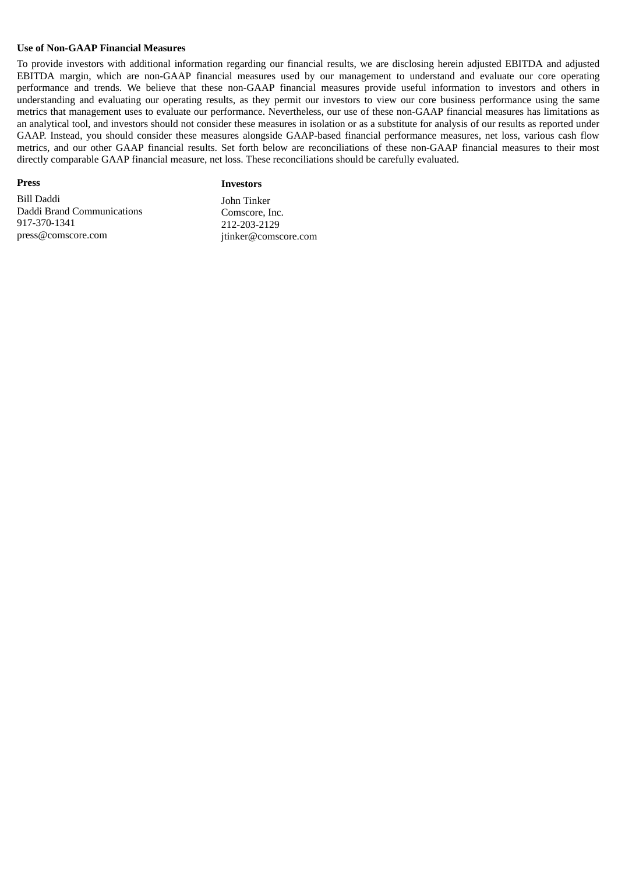#### **Use of Non-GAAP Financial Measures**

To provide investors with additional information regarding our financial results, we are disclosing herein adjusted EBITDA and adjusted EBITDA margin, which are non-GAAP financial measures used by our management to understand and evaluate our core operating performance and trends. We believe that these non-GAAP financial measures provide useful information to investors and others in understanding and evaluating our operating results, as they permit our investors to view our core business performance using the same metrics that management uses to evaluate our performance. Nevertheless, our use of these non-GAAP financial measures has limitations as an analytical tool, and investors should not consider these measures in isolation or as a substitute for analysis of our results as reported under GAAP. Instead, you should consider these measures alongside GAAP-based financial performance measures, net loss, various cash flow metrics, and our other GAAP financial results. Set forth below are reconciliations of these non-GAAP financial measures to their most directly comparable GAAP financial measure, net loss. These reconciliations should be carefully evaluated.

#### **Press**

#### **Investors**

Bill Daddi Daddi Brand Communications 917-370-1341 press@comscore.com

John Tinker Comscore, Inc. 212-203-2129 jtinker@comscore.com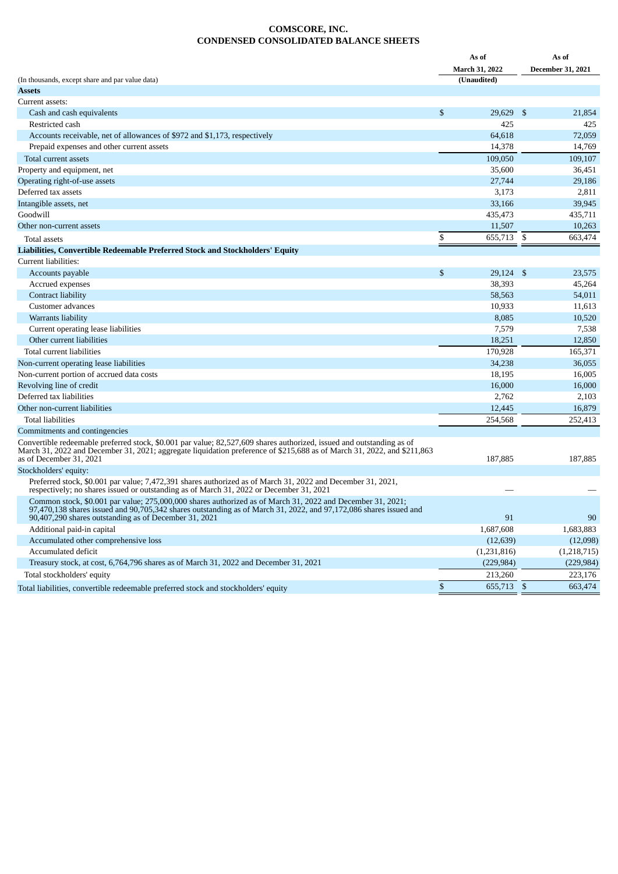#### **COMSCORE, INC. CONDENSED CONSOLIDATED BALANCE SHEETS**

|                                                                                                                                                                                                                                                                                                              |              | As of          |                | As of                    |  |
|--------------------------------------------------------------------------------------------------------------------------------------------------------------------------------------------------------------------------------------------------------------------------------------------------------------|--------------|----------------|----------------|--------------------------|--|
|                                                                                                                                                                                                                                                                                                              |              | March 31, 2022 |                | <b>December 31, 2021</b> |  |
| (In thousands, except share and par value data)                                                                                                                                                                                                                                                              |              | (Unaudited)    |                |                          |  |
| Assets                                                                                                                                                                                                                                                                                                       |              |                |                |                          |  |
| Current assets:                                                                                                                                                                                                                                                                                              |              |                |                |                          |  |
| Cash and cash equivalents                                                                                                                                                                                                                                                                                    | $\mathbb{S}$ | 29.629         | -\$            | 21,854                   |  |
| Restricted cash                                                                                                                                                                                                                                                                                              |              | 425            |                | 425                      |  |
| Accounts receivable, net of allowances of \$972 and \$1,173, respectively                                                                                                                                                                                                                                    |              | 64,618         |                | 72,059                   |  |
| Prepaid expenses and other current assets                                                                                                                                                                                                                                                                    |              | 14,378         |                | 14,769                   |  |
| Total current assets                                                                                                                                                                                                                                                                                         |              | 109,050        |                | 109,107                  |  |
| Property and equipment, net                                                                                                                                                                                                                                                                                  |              | 35,600         |                | 36,451                   |  |
| Operating right-of-use assets                                                                                                                                                                                                                                                                                |              | 27,744         |                | 29,186                   |  |
| Deferred tax assets                                                                                                                                                                                                                                                                                          |              | 3,173          |                | 2,811                    |  |
| Intangible assets, net                                                                                                                                                                                                                                                                                       |              | 33,166         |                | 39,945                   |  |
| Goodwill                                                                                                                                                                                                                                                                                                     |              | 435,473        |                | 435,711                  |  |
| Other non-current assets                                                                                                                                                                                                                                                                                     |              | 11,507         |                | 10,263                   |  |
| Total assets                                                                                                                                                                                                                                                                                                 | \$           | 655,713        | -\$            | 663,474                  |  |
| Liabilities, Convertible Redeemable Preferred Stock and Stockholders' Equity                                                                                                                                                                                                                                 |              |                |                |                          |  |
| Current liabilities:                                                                                                                                                                                                                                                                                         |              |                |                |                          |  |
| Accounts payable                                                                                                                                                                                                                                                                                             | \$           | 29,124         | -\$            | 23,575                   |  |
| Accrued expenses                                                                                                                                                                                                                                                                                             |              | 38,393         |                | 45,264                   |  |
| Contract liability                                                                                                                                                                                                                                                                                           |              | 58,563         |                | 54,011                   |  |
| Customer advances                                                                                                                                                                                                                                                                                            |              | 10,933         |                | 11,613                   |  |
| Warrants liability                                                                                                                                                                                                                                                                                           |              | 8,085          |                | 10,520                   |  |
| Current operating lease liabilities                                                                                                                                                                                                                                                                          |              | 7,579          |                | 7,538                    |  |
| Other current liabilities                                                                                                                                                                                                                                                                                    |              | 18,251         |                | 12,850                   |  |
| Total current liabilities                                                                                                                                                                                                                                                                                    |              | 170,928        |                | 165,371                  |  |
| Non-current operating lease liabilities                                                                                                                                                                                                                                                                      |              | 34,238         |                | 36,055                   |  |
|                                                                                                                                                                                                                                                                                                              |              | 18,195         |                | 16,005                   |  |
| Non-current portion of accrued data costs<br>Revolving line of credit                                                                                                                                                                                                                                        |              | 16,000         |                | 16,000                   |  |
| Deferred tax liabilities                                                                                                                                                                                                                                                                                     |              | 2,762          |                |                          |  |
|                                                                                                                                                                                                                                                                                                              |              |                |                | 2,103                    |  |
| Other non-current liabilities                                                                                                                                                                                                                                                                                |              | 12,445         |                | 16,879                   |  |
| <b>Total liabilities</b>                                                                                                                                                                                                                                                                                     |              | 254,568        |                | 252,413                  |  |
| Commitments and contingencies<br>Convertible redeemable preferred stock, \$0.001 par value; 82,527,609 shares authorized, issued and outstanding as of<br>March 31, 2022 and December 31, 2021; aggregate liquidation preference of \$215,688 as of March 31, 2022, and \$211,863<br>as of December 31, 2021 |              | 187,885        |                | 187,885                  |  |
| Stockholders' equity:                                                                                                                                                                                                                                                                                        |              |                |                |                          |  |
| Preferred stock, \$0.001 par value; 7,472,391 shares authorized as of March 31, 2022 and December 31, 2021,<br>respectively; no shares issued or outstanding as of March 31, 2022 or December 31, 2021                                                                                                       |              |                |                |                          |  |
| Common stock, \$0.001 par value; 275,000,000 shares authorized as of March 31, 2022 and December 31, 2021;<br>97,470,138 shares issued and 90,705,342 shares outstanding as of March 31, 2022, and 97,172,086 shares issued and<br>90,407,290 shares outstanding as of December 31, 2021                     |              | 91             |                | 90                       |  |
| Additional paid-in capital                                                                                                                                                                                                                                                                                   |              | 1,687,608      |                | 1,683,883                |  |
| Accumulated other comprehensive loss                                                                                                                                                                                                                                                                         |              | (12, 639)      |                | (12,098)                 |  |
| Accumulated deficit                                                                                                                                                                                                                                                                                          |              | (1,231,816)    |                | (1,218,715)              |  |
| Treasury stock, at cost, 6,764,796 shares as of March 31, 2022 and December 31, 2021                                                                                                                                                                                                                         |              | (229, 984)     |                | (229, 984)               |  |
| Total stockholders' equity                                                                                                                                                                                                                                                                                   |              | 213,260        |                | 223,176                  |  |
| Total liabilities, convertible redeemable preferred stock and stockholders' equity                                                                                                                                                                                                                           | \$           | 655,713        | $\mathfrak{S}$ | 663,474                  |  |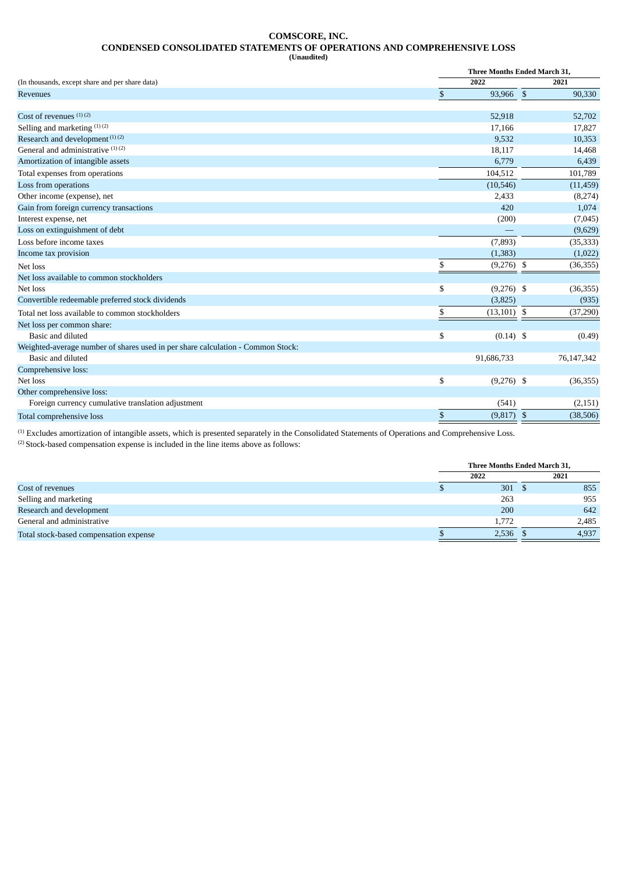#### **COMSCORE, INC. CONDENSED CONSOLIDATED STATEMENTS OF OPERATIONS AND COMPREHENSIVE LOSS (Unaudited)**

|                                                                                 | <b>Three Months Ended March 31.</b> |               |  |            |  |  |
|---------------------------------------------------------------------------------|-------------------------------------|---------------|--|------------|--|--|
| (In thousands, except share and per share data)                                 |                                     | 2022          |  | 2021       |  |  |
| Revenues                                                                        | \$                                  | 93,966 \$     |  | 90,330     |  |  |
|                                                                                 |                                     |               |  |            |  |  |
| Cost of revenues $(1)(2)$                                                       |                                     | 52,918        |  | 52,702     |  |  |
| Selling and marketing (1)(2)                                                    |                                     | 17,166        |  | 17,827     |  |  |
| Research and development <sup>(1)(2)</sup>                                      |                                     | 9,532         |  | 10,353     |  |  |
| General and administrative (1)(2)                                               |                                     | 18,117        |  | 14,468     |  |  |
| Amortization of intangible assets                                               |                                     | 6,779         |  | 6,439      |  |  |
| Total expenses from operations                                                  |                                     | 104,512       |  | 101,789    |  |  |
| Loss from operations                                                            |                                     | (10, 546)     |  | (11, 459)  |  |  |
| Other income (expense), net                                                     |                                     | 2,433         |  | (8,274)    |  |  |
| Gain from foreign currency transactions                                         |                                     | 420           |  | 1,074      |  |  |
| Interest expense, net                                                           |                                     | (200)         |  | (7,045)    |  |  |
| Loss on extinguishment of debt                                                  |                                     |               |  | (9,629)    |  |  |
| Loss before income taxes                                                        |                                     | (7, 893)      |  | (35, 333)  |  |  |
| Income tax provision                                                            |                                     | (1, 383)      |  | (1,022)    |  |  |
| Net loss                                                                        | \$                                  | $(9,276)$ \$  |  | (36, 355)  |  |  |
| Net loss available to common stockholders                                       |                                     |               |  |            |  |  |
| Net loss                                                                        | \$                                  | $(9,276)$ \$  |  | (36, 355)  |  |  |
| Convertible redeemable preferred stock dividends                                |                                     | (3,825)       |  | (935)      |  |  |
| Total net loss available to common stockholders                                 | S                                   | $(13,101)$ \$ |  | (37, 290)  |  |  |
| Net loss per common share:                                                      |                                     |               |  |            |  |  |
| Basic and diluted                                                               | \$                                  | $(0.14)$ \$   |  | (0.49)     |  |  |
| Weighted-average number of shares used in per share calculation - Common Stock: |                                     |               |  |            |  |  |
| Basic and diluted                                                               |                                     | 91,686,733    |  | 76,147,342 |  |  |
| Comprehensive loss:                                                             |                                     |               |  |            |  |  |
| Net loss                                                                        | \$                                  | $(9,276)$ \$  |  | (36, 355)  |  |  |
| Other comprehensive loss:                                                       |                                     |               |  |            |  |  |
| Foreign currency cumulative translation adjustment                              |                                     | (541)         |  | (2, 151)   |  |  |
| Total comprehensive loss                                                        | \$                                  | $(9,817)$ \$  |  | (38, 506)  |  |  |

 $<sup>(1)</sup>$  Excludes amortization of intangible assets, which is presented separately in the Consolidated Statements of Operations and Comprehensive Loss.</sup>  $(2)$  Stock-based compensation expense is included in the line items above as follows:

|                                        | Three Months Ended March 31. |       |
|----------------------------------------|------------------------------|-------|
|                                        | 2022                         | 2021  |
| Cost of revenues                       | 301                          | 855   |
| Selling and marketing                  | 263                          | 955   |
| Research and development               | 200                          | 642   |
| General and administrative             | 1.772                        | 2,485 |
| Total stock-based compensation expense | 2,536                        | 4,937 |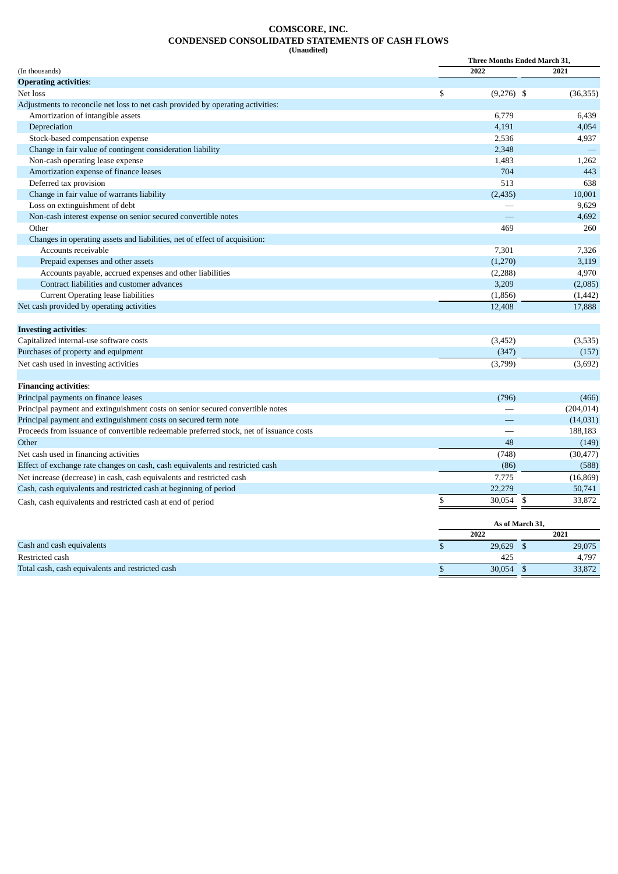#### **COMSCORE, INC. CONDENSED CONSOLIDATED STATEMENTS OF CASH FLOWS (Unaudited)**

|                                                                                         | <b>Three Months Ended March 31,</b> |            |  |  |  |  |
|-----------------------------------------------------------------------------------------|-------------------------------------|------------|--|--|--|--|
| (In thousands)                                                                          | 2022                                | 2021       |  |  |  |  |
| <b>Operating activities:</b>                                                            |                                     |            |  |  |  |  |
| Net loss                                                                                | \$<br>$(9,276)$ \$                  | (36, 355)  |  |  |  |  |
| Adjustments to reconcile net loss to net cash provided by operating activities:         |                                     |            |  |  |  |  |
| Amortization of intangible assets                                                       | 6,779                               | 6,439      |  |  |  |  |
| Depreciation                                                                            | 4,191                               | 4,054      |  |  |  |  |
| Stock-based compensation expense                                                        | 2,536                               | 4,937      |  |  |  |  |
| Change in fair value of contingent consideration liability                              | 2,348                               |            |  |  |  |  |
| Non-cash operating lease expense                                                        | 1,483                               | 1,262      |  |  |  |  |
| Amortization expense of finance leases                                                  | 704                                 | 443        |  |  |  |  |
| Deferred tax provision                                                                  | 513                                 | 638        |  |  |  |  |
| Change in fair value of warrants liability                                              | (2, 435)                            | 10,001     |  |  |  |  |
| Loss on extinguishment of debt                                                          |                                     | 9,629      |  |  |  |  |
| Non-cash interest expense on senior secured convertible notes                           |                                     | 4,692      |  |  |  |  |
| Other                                                                                   | 469                                 | 260        |  |  |  |  |
| Changes in operating assets and liabilities, net of effect of acquisition:              |                                     |            |  |  |  |  |
| Accounts receivable                                                                     | 7,301                               | 7,326      |  |  |  |  |
| Prepaid expenses and other assets                                                       | (1,270)                             | 3,119      |  |  |  |  |
| Accounts payable, accrued expenses and other liabilities                                | (2, 288)                            | 4,970      |  |  |  |  |
| Contract liabilities and customer advances                                              | 3,209                               | (2,085)    |  |  |  |  |
| <b>Current Operating lease liabilities</b>                                              | (1,856)                             | (1, 442)   |  |  |  |  |
| Net cash provided by operating activities                                               | 12,408                              | 17,888     |  |  |  |  |
| <b>Investing activities:</b>                                                            |                                     |            |  |  |  |  |
| Capitalized internal-use software costs                                                 | (3, 452)                            | (3,535)    |  |  |  |  |
| Purchases of property and equipment                                                     | (347)                               | (157)      |  |  |  |  |
| Net cash used in investing activities                                                   | (3,799)                             | (3,692)    |  |  |  |  |
| <b>Financing activities:</b>                                                            |                                     |            |  |  |  |  |
| Principal payments on finance leases                                                    | (796)                               | (466)      |  |  |  |  |
| Principal payment and extinguishment costs on senior secured convertible notes          |                                     | (204, 014) |  |  |  |  |
| Principal payment and extinguishment costs on secured term note                         |                                     | (14, 031)  |  |  |  |  |
| Proceeds from issuance of convertible redeemable preferred stock, net of issuance costs |                                     | 188,183    |  |  |  |  |
| Other                                                                                   | 48                                  | (149)      |  |  |  |  |
| Net cash used in financing activities                                                   | (748)                               | (30, 477)  |  |  |  |  |
| Effect of exchange rate changes on cash, cash equivalents and restricted cash           | (86)                                | (588)      |  |  |  |  |
| Net increase (decrease) in cash, cash equivalents and restricted cash                   | 7,775                               | (16, 869)  |  |  |  |  |
| Cash, cash equivalents and restricted cash at beginning of period                       | 22,279                              | 50,741     |  |  |  |  |
| Cash, cash equivalents and restricted cash at end of period                             | \$<br>30,054<br>\$                  | 33,872     |  |  |  |  |
|                                                                                         |                                     |            |  |  |  |  |

|                                                  | As of March 31. |        |  |
|--------------------------------------------------|-----------------|--------|--|
|                                                  | 2022            | 2021   |  |
| Cash and cash equivalents                        | 29,629          | 29,075 |  |
| Restricted cash                                  | 425             | 4,797  |  |
| Total cash, cash equivalents and restricted cash | 30.054          | 33,872 |  |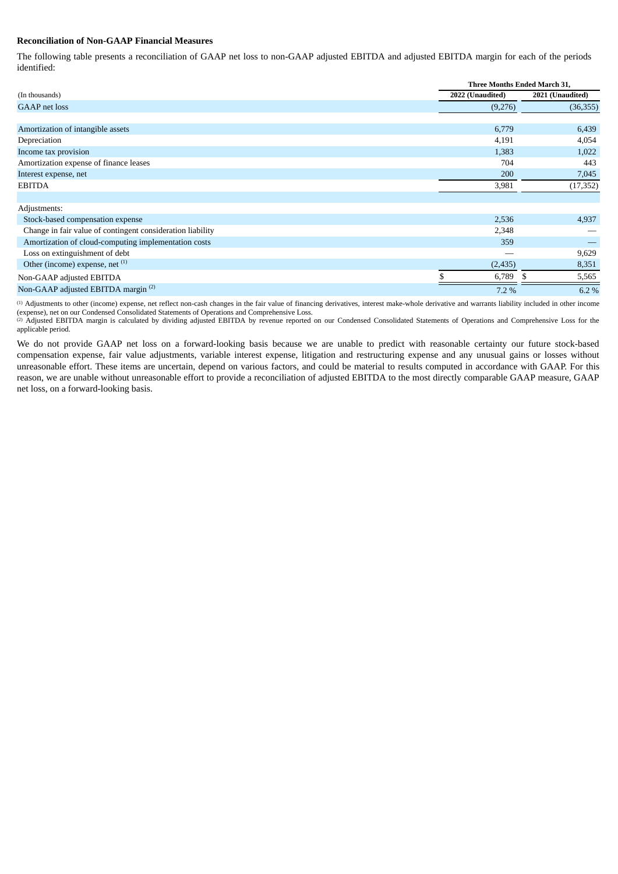#### **Reconciliation of Non-GAAP Financial Measures**

The following table presents a reconciliation of GAAP net loss to non-GAAP adjusted EBITDA and adjusted EBITDA margin for each of the periods identified:

|                                                            |                  | Three Months Ended March 31, |  |  |  |  |  |
|------------------------------------------------------------|------------------|------------------------------|--|--|--|--|--|
| (In thousands)                                             | 2022 (Unaudited) | 2021 (Unaudited)             |  |  |  |  |  |
| <b>GAAP</b> net loss                                       | (9,276)          | (36, 355)                    |  |  |  |  |  |
|                                                            |                  |                              |  |  |  |  |  |
| Amortization of intangible assets                          | 6,779            | 6,439                        |  |  |  |  |  |
| Depreciation                                               | 4,191            | 4,054                        |  |  |  |  |  |
| Income tax provision                                       | 1,383            | 1,022                        |  |  |  |  |  |
| Amortization expense of finance leases                     | 704              | 443                          |  |  |  |  |  |
| Interest expense, net                                      | 200              | 7,045                        |  |  |  |  |  |
| <b>EBITDA</b>                                              | 3,981            | (17, 352)                    |  |  |  |  |  |
|                                                            |                  |                              |  |  |  |  |  |
| Adjustments:                                               |                  |                              |  |  |  |  |  |
| Stock-based compensation expense                           | 2,536            | 4,937                        |  |  |  |  |  |
| Change in fair value of contingent consideration liability | 2,348            |                              |  |  |  |  |  |
| Amortization of cloud-computing implementation costs       | 359              |                              |  |  |  |  |  |
| Loss on extinguishment of debt                             |                  | 9,629                        |  |  |  |  |  |
| Other (income) expense, net (1)                            | (2,435)          | 8,351                        |  |  |  |  |  |
| Non-GAAP adjusted EBITDA                                   | 6,789            | 5,565                        |  |  |  |  |  |
| Non-GAAP adjusted EBITDA margin <sup>(2)</sup>             | 7.2%             | 6.2%                         |  |  |  |  |  |

 $\mu$ ) Adjustments to other (income) expense, net reflect non-cash changes in the fair value of financing derivatives, interest make-whole derivative and warrants liability included in other income (expense), net on our Condensed Consolidated Statements of Operations and Comprehensive Loss.

(2) Adjusted EBITDA margin is calculated by dividing adjusted EBITDA by revenue reported on our Condensed Consolidated Statements of Operations and Comprehensive Loss for the applicable period.

We do not provide GAAP net loss on a forward-looking basis because we are unable to predict with reasonable certainty our future stock-based compensation expense, fair value adjustments, variable interest expense, litigation and restructuring expense and any unusual gains or losses without unreasonable effort. These items are uncertain, depend on various factors, and could be material to results computed in accordance with GAAP. For this reason, we are unable without unreasonable effort to provide a reconciliation of adjusted EBITDA to the most directly comparable GAAP measure, GAAP net loss, on a forward-looking basis.